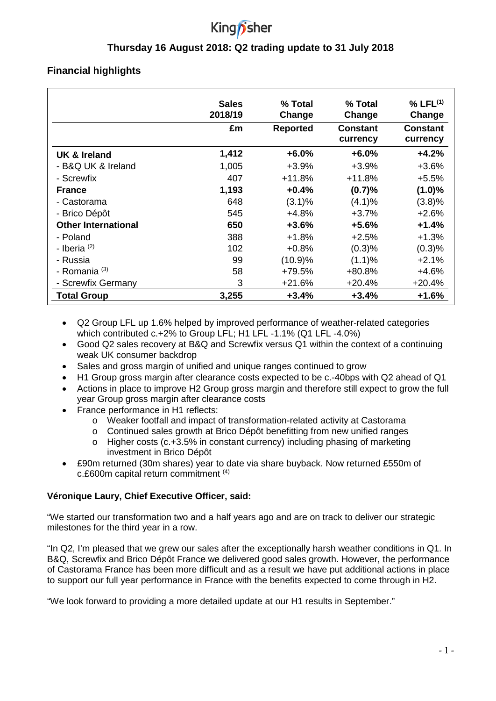# King *i*sher

# **Thursday 16 August 2018: Q2 trading update to 31 July 2018**

# **Financial highlights**

|                            | <b>Sales</b><br>2018/19 | % Total<br>Change | % Total<br>Change    | % LFL <sup>(1)</sup><br>Change |
|----------------------------|-------------------------|-------------------|----------------------|--------------------------------|
|                            | £m                      | <b>Reported</b>   | Constant<br>currency | Constant<br>currency           |
| UK & Ireland               | 1,412                   | $+6.0%$           | $+6.0%$              | $+4.2%$                        |
| - B&Q UK & Ireland         | 1,005                   | $+3.9%$           | $+3.9%$              | $+3.6%$                        |
| - Screwfix                 | 407                     | $+11.8%$          | $+11.8%$             | $+5.5%$                        |
| <b>France</b>              | 1,193                   | $+0.4%$           | (0.7)%               | $(1.0)\%$                      |
| - Castorama                | 648                     | $(3.1)\%$         | $(4.1)\%$            | (3.8)%                         |
| - Brico Dépôt              | 545                     | $+4.8%$           | $+3.7%$              | $+2.6%$                        |
| <b>Other International</b> | 650                     | $+3.6%$           | $+5.6%$              | $+1.4%$                        |
| - Poland                   | 388                     | +1.8%             | $+2.5%$              | $+1.3%$                        |
| - Iberia $(2)$             | 102                     | $+0.8%$           | (0.3)%               | (0.3)%                         |
| - Russia                   | 99                      | (10.9)%           | (1.1)%               | $+2.1%$                        |
| - Romania <sup>(3)</sup>   | 58                      | +79.5%            | +80.8%               | $+4.6%$                        |
| - Screwfix Germany         | 3                       | $+21.6%$          | $+20.4%$             | $+20.4%$                       |
| <b>Total Group</b>         | 3,255                   | $+3.4%$           | $+3.4%$              | +1.6%                          |

- Q2 Group LFL up 1.6% helped by improved performance of weather-related categories which contributed c.+2% to Group LFL; H1 LFL -1.1% (Q1 LFL -4.0%)
- Good Q2 sales recovery at B&Q and Screwfix versus Q1 within the context of a continuing weak UK consumer backdrop
- Sales and gross margin of unified and unique ranges continued to grow
- H1 Group gross margin after clearance costs expected to be c.-40bps with Q2 ahead of Q1
- Actions in place to improve H2 Group gross margin and therefore still expect to grow the full year Group gross margin after clearance costs
- France performance in H1 reflects:
	- o Weaker footfall and impact of transformation-related activity at Castorama
	- o Continued sales growth at Brico Dépôt benefitting from new unified ranges
	- $\circ$  Higher costs (c.+3.5% in constant currency) including phasing of marketing investment in Brico Dépôt
- £90m returned (30m shares) year to date via share buyback. Now returned £550m of c.£600m capital return commitment (4)

## **Véronique Laury, Chief Executive Officer, said:**

"We started our transformation two and a half years ago and are on track to deliver our strategic milestones for the third year in a row.

"In Q2, I'm pleased that we grew our sales after the exceptionally harsh weather conditions in Q1. In B&Q, Screwfix and Brico Dépôt France we delivered good sales growth. However, the performance of Castorama France has been more difficult and as a result we have put additional actions in place to support our full year performance in France with the benefits expected to come through in H2.

"We look forward to providing a more detailed update at our H1 results in September."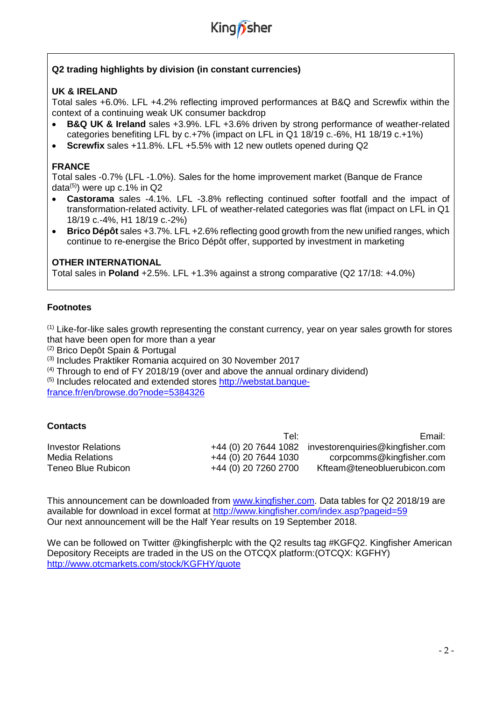

## **Q2 trading highlights by division (in constant currencies)**

#### **UK & IRELAND**

Total sales +6.0%. LFL +4.2% reflecting improved performances at B&Q and Screwfix within the context of a continuing weak UK consumer backdrop

- **B&Q UK & Ireland** sales +3.9%. LFL +3.6% driven by strong performance of weather-related categories benefiting LFL by c.+7% (impact on LFL in Q1 18/19 c.-6%, H1 18/19 c.+1%)
- **Screwfix** sales +11.8%. LFL +5.5% with 12 new outlets opened during Q2

#### **FRANCE**

Total sales -0.7% (LFL -1.0%). Sales for the home improvement market (Banque de France data<sup>(5)</sup>) were up c.1% in Q2

- **Castorama** sales -4.1%. LFL -3.8% reflecting continued softer footfall and the impact of transformation-related activity. LFL of weather-related categories was flat (impact on LFL in Q1 18/19 c.-4%, H1 18/19 c.-2%)
- **Brico Dépôt** sales +3.7%. LFL +2.6% reflecting good growth from the new unified ranges, which continue to re-energise the Brico Dépôt offer, supported by investment in marketing

#### **OTHER INTERNATIONAL**

Total sales in **Poland** +2.5%. LFL +1.3% against a strong comparative (Q2 17/18: +4.0%)

#### **Footnotes**

 $<sup>(1)</sup>$  Like-for-like sales growth representing the constant currency, year on year sales growth for stores</sup> that have been open for more than a year

(2) Brico Depôt Spain & Portugal

(3) Includes Praktiker Romania acquired on 30 November 2017

 $(4)$  Through to end of FY 2018/19 (over and above the annual ordinary dividend) (5) Includes relocated and extended stores [http://webstat.banque](http://webstat.banque-france.fr/en/browse.do?node=5384326)[france.fr/en/browse.do?node=5384326](http://webstat.banque-france.fr/en/browse.do?node=5384326)

#### **Contacts**

|                    | Tel:                 | Email:                                                |
|--------------------|----------------------|-------------------------------------------------------|
| Investor Relations |                      | +44 (0) 20 7644 1082 investorenguiries@kingfisher.com |
| Media Relations    | +44 (0) 20 7644 1030 | corpcomms@kingfisher.com                              |
| Teneo Blue Rubicon | +44 (0) 20 7260 2700 | Kfteam@teneobluerubicon.com                           |

This announcement can be downloaded from [www.kingfisher.com.](http://www.kingfisher.com/) Data tables for Q2 2018/19 are available for download in excel format at<http://www.kingfisher.com/index.asp?pageid=59> Our next announcement will be the Half Year results on 19 September 2018.

We can be followed on Twitter @kingfisherplc with the Q2 results tag #KGFQ2. Kingfisher American Depository Receipts are traded in the US on the OTCQX platform:(OTCQX: KGFHY) <http://www.otcmarkets.com/stock/KGFHY/quote>